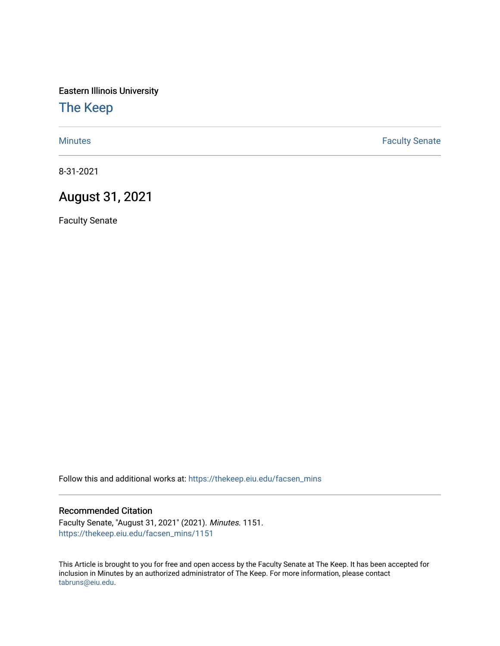Eastern Illinois University

# [The Keep](https://thekeep.eiu.edu/)

[Minutes](https://thekeep.eiu.edu/facsen_mins) **Faculty Senate** 

8-31-2021

## August 31, 2021

Faculty Senate

Follow this and additional works at: [https://thekeep.eiu.edu/facsen\\_mins](https://thekeep.eiu.edu/facsen_mins?utm_source=thekeep.eiu.edu%2Ffacsen_mins%2F1151&utm_medium=PDF&utm_campaign=PDFCoverPages) 

#### Recommended Citation

Faculty Senate, "August 31, 2021" (2021). Minutes. 1151. [https://thekeep.eiu.edu/facsen\\_mins/1151](https://thekeep.eiu.edu/facsen_mins/1151?utm_source=thekeep.eiu.edu%2Ffacsen_mins%2F1151&utm_medium=PDF&utm_campaign=PDFCoverPages) 

This Article is brought to you for free and open access by the Faculty Senate at The Keep. It has been accepted for inclusion in Minutes by an authorized administrator of The Keep. For more information, please contact [tabruns@eiu.edu.](mailto:tabruns@eiu.edu)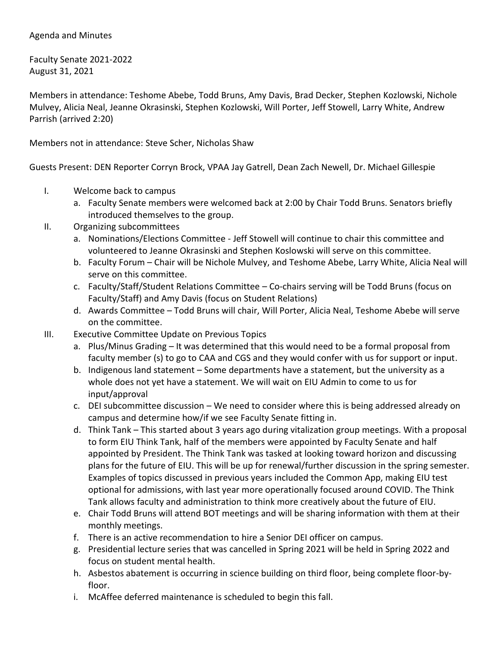### Agenda and Minutes

Faculty Senate 2021-2022 August 31, 2021

Members in attendance: Teshome Abebe, Todd Bruns, Amy Davis, Brad Decker, Stephen Kozlowski, Nichole Mulvey, Alicia Neal, Jeanne Okrasinski, Stephen Kozlowski, Will Porter, Jeff Stowell, Larry White, Andrew Parrish (arrived 2:20)

Members not in attendance: Steve Scher, Nicholas Shaw

Guests Present: DEN Reporter Corryn Brock, VPAA Jay Gatrell, Dean Zach Newell, Dr. Michael Gillespie

- I. Welcome back to campus
	- a. Faculty Senate members were welcomed back at 2:00 by Chair Todd Bruns. Senators briefly introduced themselves to the group.
- II. Organizing subcommittees
	- a. Nominations/Elections Committee Jeff Stowell will continue to chair this committee and volunteered to Jeanne Okrasinski and Stephen Koslowski will serve on this committee.
	- b. Faculty Forum Chair will be Nichole Mulvey, and Teshome Abebe, Larry White, Alicia Neal will serve on this committee.
	- c. Faculty/Staff/Student Relations Committee Co-chairs serving will be Todd Bruns (focus on Faculty/Staff) and Amy Davis (focus on Student Relations)
	- d. Awards Committee Todd Bruns will chair, Will Porter, Alicia Neal, Teshome Abebe will serve on the committee.
- III. Executive Committee Update on Previous Topics
	- a. Plus/Minus Grading It was determined that this would need to be a formal proposal from faculty member (s) to go to CAA and CGS and they would confer with us for support or input.
	- b. Indigenous land statement Some departments have a statement, but the university as a whole does not yet have a statement. We will wait on EIU Admin to come to us for input/approval
	- c. DEI subcommittee discussion We need to consider where this is being addressed already on campus and determine how/if we see Faculty Senate fitting in.
	- d. Think Tank This started about 3 years ago during vitalization group meetings. With a proposal to form EIU Think Tank, half of the members were appointed by Faculty Senate and half appointed by President. The Think Tank was tasked at looking toward horizon and discussing plans for the future of EIU. This will be up for renewal/further discussion in the spring semester. Examples of topics discussed in previous years included the Common App, making EIU test optional for admissions, with last year more operationally focused around COVID. The Think Tank allows faculty and administration to think more creatively about the future of EIU.
	- e. Chair Todd Bruns will attend BOT meetings and will be sharing information with them at their monthly meetings.
	- f. There is an active recommendation to hire a Senior DEI officer on campus.
	- g. Presidential lecture series that was cancelled in Spring 2021 will be held in Spring 2022 and focus on student mental health.
	- h. Asbestos abatement is occurring in science building on third floor, being complete floor-byfloor.
	- i. McAffee deferred maintenance is scheduled to begin this fall.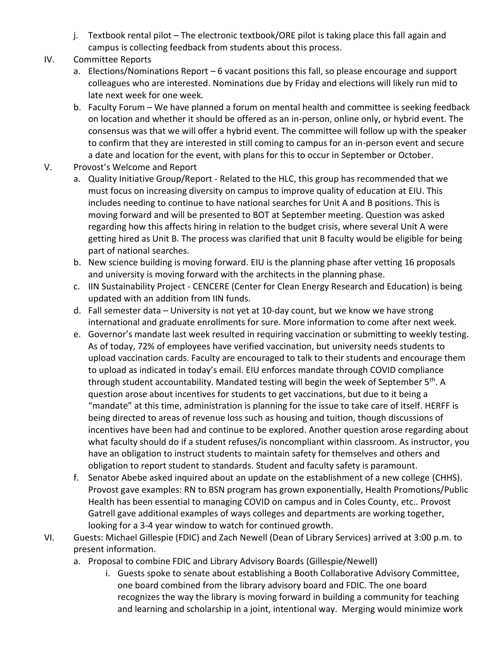- j. Textbook rental pilot The electronic textbook/ORE pilot is taking place this fall again and campus is collecting feedback from students about this process.
- IV. Committee Reports
	- a. Elections/Nominations Report 6 vacant positions this fall, so please encourage and support colleagues who are interested. Nominations due by Friday and elections will likely run mid to late next week for one week.
	- b. Faculty Forum We have planned a forum on mental health and committee is seeking feedback on location and whether it should be offered as an in-person, online only, or hybrid event. The consensus was that we will offer a hybrid event. The committee will follow up with the speaker to confirm that they are interested in still coming to campus for an in-person event and secure a date and location for the event, with plans for this to occur in September or October.
- V. Provost's Welcome and Report
	- a. Quality Initiative Group/Report Related to the HLC, this group has recommended that we must focus on increasing diversity on campus to improve quality of education at EIU. This includes needing to continue to have national searches for Unit A and B positions. This is moving forward and will be presented to BOT at September meeting. Question was asked regarding how this affects hiring in relation to the budget crisis, where several Unit A were getting hired as Unit B. The process was clarified that unit B faculty would be eligible for being part of national searches.
	- b. New science building is moving forward. EIU is the planning phase after vetting 16 proposals and university is moving forward with the architects in the planning phase.
	- c. IIN Sustainability Project CENCERE (Center for Clean Energy Research and Education) is being updated with an addition from IIN funds.
	- d. Fall semester data University is not yet at 10-day count, but we know we have strong international and graduate enrollments for sure. More information to come after next week.
	- e. Governor's mandate last week resulted in requiring vaccination or submitting to weekly testing. As of today, 72% of employees have verified vaccination, but university needs students to upload vaccination cards. Faculty are encouraged to talk to their students and encourage them to upload as indicated in today's email. EIU enforces mandate through COVID compliance through student accountability. Mandated testing will begin the week of September 5<sup>th</sup>. A question arose about incentives for students to get vaccinations, but due to it being a "mandate" at this time, administration is planning for the issue to take care of itself. HERFF is being directed to areas of revenue loss such as housing and tuition, though discussions of incentives have been had and continue to be explored. Another question arose regarding about what faculty should do if a student refuses/is noncompliant within classroom. As instructor, you have an obligation to instruct students to maintain safety for themselves and others and obligation to report student to standards. Student and faculty safety is paramount.
	- f. Senator Abebe asked inquired about an update on the establishment of a new college (CHHS). Provost gave examples: RN to BSN program has grown exponentially, Health Promotions/Public Health has been essential to managing COVID on campus and in Coles County, etc.. Provost Gatrell gave additional examples of ways colleges and departments are working together, looking for a 3-4 year window to watch for continued growth.
- VI. Guests: Michael Gillespie (FDIC) and Zach Newell (Dean of Library Services) arrived at 3:00 p.m. to present information.
	- a. Proposal to combine FDIC and Library Advisory Boards (Gillespie/Newell)
		- i. Guests spoke to senate about establishing a Booth Collaborative Advisory Committee, one board combined from the library advisory board and FDIC. The one board recognizes the way the library is moving forward in building a community for teaching and learning and scholarship in a joint, intentional way. Merging would minimize work